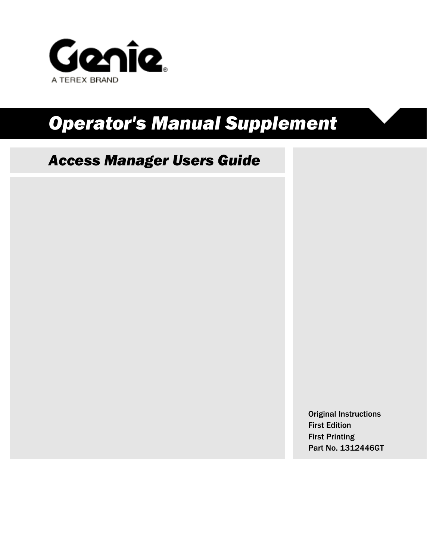

# *Operator's Manual Supplement*

# *Access Manager Users Guide*

Original Instructions First Edition First Printing Part No. 1312446GT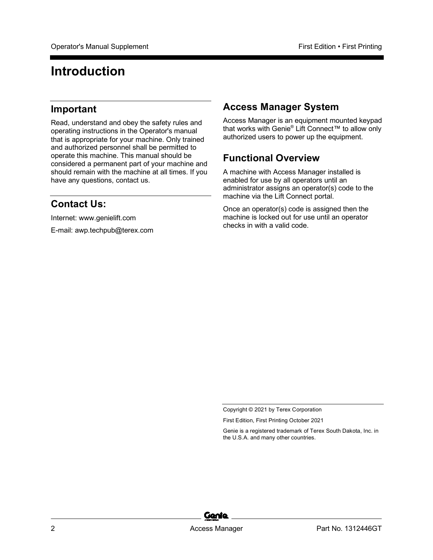# **Introduction**

#### **Important**

Read, understand and obey the safety rules and operating instructions in the Operator's manual that is appropriate for your machine. Only trained and authorized personnel shall be permitted to operate this machine. This manual should be considered a permanent part of your machine and should remain with the machine at all times. If you have any questions, contact us.

## **Contact Us:**

Internet: www.genielift.com

E-mail: awp.techpub@terex.com

#### **Access Manager System**

Access Manager is an equipment mounted keypad that works with Genie® Lift Connect™ to allow only authorized users to power up the equipment.

## **Functional Overview**

A machine with Access Manager installed is enabled for use by all operators until an administrator assigns an operator(s) code to the machine via the Lift Connect portal.

Once an operator(s) code is assigned then the machine is locked out for use until an operator checks in with a valid code.



Copyright © 2021 by Terex Corporation

First Edition, First Printing October 2021

Genie is a registered trademark of Terex South Dakota, Inc. in the U.S.A. and many other countries.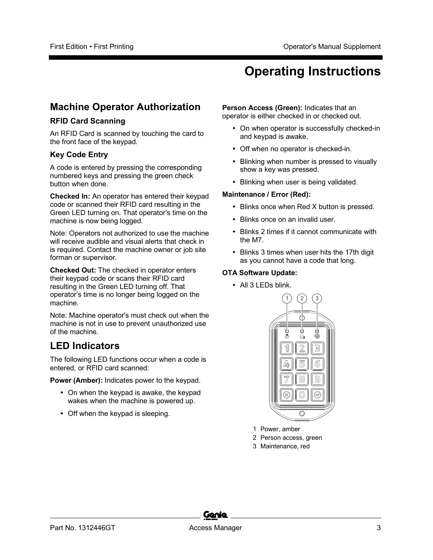# **Operating Instructions**

## **Machine Operator Authorization**

#### **RFID Card Scanning**

An RFID Card is scanned by touching the card to the front face of the keypad.

#### **Key Code Entry**

A code is entered by pressing the corresponding numbered keys and pressing the green check button when done.

**Checked In:** An operator has entered their keypad code or scanned their RFID card resulting in the Green LED turning on. That operator's time on the machine is now being logged.

Note: Operators not authorized to use the machine will receive audible and visual alerts that check in is required. Contact the machine owner or job site forman or supervisor.

**Checked Out:** The checked in operator enters their keypad code or scans their RFID card resulting in the Green LED turning off. That operator's time is no longer being logged on the machine.

Note: Machine operator's must check out when the machine is not in use to prevent unauthorized use of the machine.

## **LED Indicators**

The following LED functions occur when a code is entered, or RFID card scanned:

**Power (Amber):** Indicates power to the keypad.

- On when the keypad is awake, the keypad wakes when the machine is powered up.
- Off when the keypad is sleeping.

**Person Access (Green):** Indicates that an operator is either checked in or checked out.

- On when operator is successfully checked-in and keypad is awake.
- Off when no operator is checked-in.
- Blinking when number is pressed to visually show a key was pressed.
- Blinking when user is being validated.

#### **Maintenance / Error (Red):**

- Blinks once when Red X button is pressed.
- Blinks once on an invalid user.
- Blinks 2 times if it cannot communicate with the M7.
- Blinks 3 times when user hits the 17th digit as you cannot have a code that long.

#### **OTA Software Update:**

• All 3 LEDs blink.



- 1 Power, amber
- 2 Person access, green
- 3 Maintenance, red